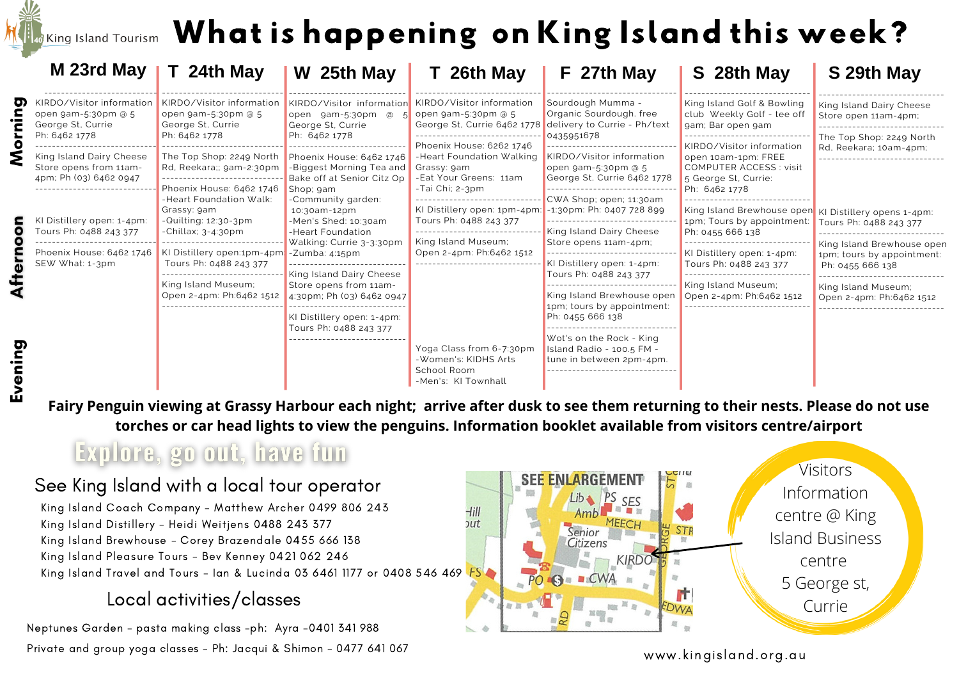# If  $\epsilon$  island Tourism  $\,$  What is happening on King Island this week?

|        | M 23rd May                                                            | T 24th May                                                            | W 25th May                                                                                                                                                                                                                                                                                        | T 26th May                                                                                          | F 27th May                                                                          | S 28th May                                                                                     | S 29th May                                                                                                                                                |  |
|--------|-----------------------------------------------------------------------|-----------------------------------------------------------------------|---------------------------------------------------------------------------------------------------------------------------------------------------------------------------------------------------------------------------------------------------------------------------------------------------|-----------------------------------------------------------------------------------------------------|-------------------------------------------------------------------------------------|------------------------------------------------------------------------------------------------|-----------------------------------------------------------------------------------------------------------------------------------------------------------|--|
| σ      | KIRDO/Visitor information<br>open 9am-5:30pm @ 5<br>George St, Currie | KIRDO/Visitor information<br>open 9am-5:30pm @ 5<br>George St, Currie | KIRDO/Visitor information<br>open gam-5:30pm @<br>George St, Currie                                                                                                                                                                                                                               | KIRDO/Visitor information<br>open 9am-5:30pm @ 5<br>George St, Currie 6462 1778                     | Sourdough Mumma -<br>Organic Sourdough. free<br>delivery to Currie - Ph/text        | King Island Golf & Bowling<br>club Weekly Golf - tee off<br>gam; Bar open gam                  | King Island Dairy Cheese<br>Store open 11am-4pm;                                                                                                          |  |
|        | Ph: 6462 1778<br>King Island Dairy Cheese<br>Store opens from 11am-   | Ph: 6462 1778<br>The Top Shop: 2249 North<br>Rd, Reekara;; gam-2:30pm | Ph: 6462 1778<br>Phoenix House: 6462 1746<br><b>Biggest Morning Tea and Grassy: 9am</b>                                                                                                                                                                                                           | Phoenix House: 6262 1746<br>-Heart Foundation Walking                                               | 0435951678<br>KIRDO/Visitor information<br>open 9am-5:30pm @ 5                      | KIRDO/Visitor information<br>open 10am-1pm: FREE<br>COMPUTER ACCESS: visit                     | The Top Shop: 2249 North<br>Rd, Reekara; 10am-4pm;                                                                                                        |  |
|        | 4pm; Ph (03) 6462 0947                                                | Phoenix House: 6462 1746<br>-Heart Foundation Walk:<br>Grassy: 9am    | Bake off at Senior Citz Op<br>Shop; gam<br>-Community garden:<br>10:30am-12pm<br>-Men's Shed: 10:30am<br>-Heart Foundation<br>Walking: Currie 3-3:30pm<br>King Island Dairy Cheese<br>Store opens from 11am-<br>4:30pm; Ph (03) 6462 0947<br>KI Distillery open: 1-4pm:<br>Tours Ph: 0488 243 377 | -Eat Your Greens: 11am<br>-Tai Chi; 2-3pm<br>KI Distillery open: 1pm-4pm: -1:30pm: Ph: 0407 728 899 | George St, Currie 6462 1778<br>CWA Shop: open: 11:30am                              | 5 George St, Currie:<br>Ph: 6462 1778<br>King Island Brewhouse open KI Distillery opens 1-4pm: |                                                                                                                                                           |  |
|        | KI Distillery open: 1-4pm:<br>Tours Ph: 0488 243 377                  | -Quilting: $12:30-3$ pm<br>$-$ Chillax; $3-4:30$ pm                   |                                                                                                                                                                                                                                                                                                   | Tours Ph: 0488 243 377<br>King Island Museum;                                                       | ------------------------------<br>King Island Dairy Cheese<br>Store opens 11am-4pm; | 1pm; Tours by appointment:<br>Ph: 0455 666 138                                                 | Tours Ph: 0488 243 377<br>King Island Brewhouse open<br>1pm; tours by appointment:<br>Ph: 0455 666 138<br>King Island Museum;<br>Open 2-4pm: Ph:6462 1512 |  |
|        | Phoenix House: 6462 1746<br>SEW What: 1-3pm                           | KI Distillery open:1pm-4pm - Zumba: 4:15pm<br>Tours Ph: 0488 243 377  |                                                                                                                                                                                                                                                                                                   | Open 2-4pm: Ph:6462 1512<br>Yoga Class from 6-7:30pm<br>-Women's: KIDHS Arts                        | KI Distillery open: 1-4pm:<br>Tours Ph: 0488 243 377                                | KI Distillery open: 1-4pm:<br>Tours Ph: 0488 243 377                                           |                                                                                                                                                           |  |
|        |                                                                       | King Island Museum;<br>Open 2-4pm: Ph:6462 1512                       |                                                                                                                                                                                                                                                                                                   |                                                                                                     | King Island Brewhouse open<br>1pm; tours by appointment:<br>Ph: 0455 666 138        | King Island Museum;<br>Open 2-4pm: Ph:6462 1512                                                |                                                                                                                                                           |  |
| vening |                                                                       |                                                                       |                                                                                                                                                                                                                                                                                                   |                                                                                                     | Wot's on the Rock - King<br>Island Radio - 100.5 FM -<br>tune in between 2pm-4pm.   |                                                                                                |                                                                                                                                                           |  |
|        |                                                                       |                                                                       |                                                                                                                                                                                                                                                                                                   | School Room<br>-Men's: KI Townhall                                                                  |                                                                                     |                                                                                                |                                                                                                                                                           |  |

Fairy Penguin viewing at Grassy Harbour each night; arrive after dusk to see them returning to their nests. Please do not use **torches or car head lights to view the penguins. Information booklet available from visitors centre/airport**

## Explore, go out, have fun

### See King Island with a local tour operator

King Island Coach Company - Matthew Archer 0499 806 243 King Island Distillery - Heidi Weitjens 0488 243 377 King Island Brewhouse - Corey Brazendale 0455 666 138 King Island Pleasure Tours - Bev Kenney 0421 062 246 King Island Travel and Tours - Ian & Lucinda 03 6461 1177 or 0408 546 469 FS

### Local activities/classes

Neptunes Garden - pasta making class -ph: Ayra -0401 341 988 Private and group yoga classes - Ph: Jacqui & Shimon - 0477 641 067



#### www.kingisland.org.au